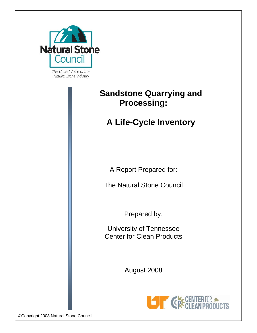

The United Voice of the Natural Stone Industry

# **Sandstone Quarrying and Processing:**

# **A Life-Cycle Inventory**

A Report Prepared for:

The Natural Stone Council

Prepared by:

University of Tennessee Center for Clean Products

August 2008



©Copyright 2008 Natural Stone Council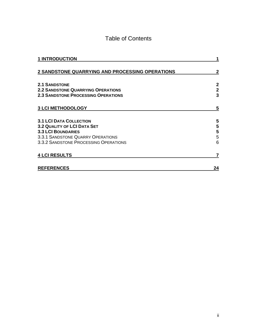### Table of Contents

| <b>1 INTRODUCTION</b>                                                      |                             |
|----------------------------------------------------------------------------|-----------------------------|
| 2 SANDSTONE QUARRYING AND PROCESSING OPERATIONS                            |                             |
| <b>2.1 SANDSTONE</b><br><b>2.2 SANDSTONE QUARRYING OPERATIONS</b>          | $\mathbf{2}$<br>$\mathbf 2$ |
| <b>2.3 SANDSTONE PROCESSING OPERATIONS</b>                                 | 3                           |
| <b>3 LCI METHODOLOGY</b>                                                   | 5                           |
| <b>3.1 LCI DATA COLLECTION</b>                                             | 5                           |
| <b>3.2 QUALITY OF LCI DATA SET</b><br><b>3.3 LCI BOUNDARIES</b>            | 5<br>5                      |
| 3.3.1 SANDSTONE QUARRY OPERATIONS<br>3.3.2 SANDSTONE PROCESSING OPERATIONS | 5<br>6                      |
| <b>4 LCI RESULTS</b>                                                       |                             |
| <b>REFERENCES</b>                                                          | 24                          |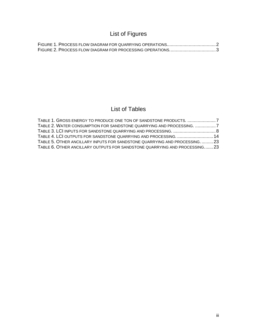## List of Figures

### List of Tables

| TABLE 1. GROSS ENERGY TO PRODUCE ONE TON OF SANDSTONE PRODUCTS. 7           |  |
|-----------------------------------------------------------------------------|--|
| TABLE 2. WATER CONSUMPTION FOR SANDSTONE QUARRYING AND PROCESSING. 7        |  |
| TABLE 3. LCI INPUTS FOR SANDSTONE QUARRYING AND PROCESSING.  8              |  |
| TABLE 4. LCI OUTPUTS FOR SANDSTONE QUARRYING AND PROCESSING.  14            |  |
| TABLE 5. OTHER ANCILLARY INPUTS FOR SANDSTONE QUARRYING AND PROCESSING.  23 |  |
| TABLE 6. OTHER ANCILLARY OUTPUTS FOR SANDSTONE QUARRYING AND PROCESSING 23  |  |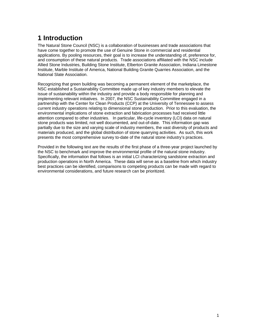## <span id="page-3-1"></span><span id="page-3-0"></span>**1 Introduction**

The Natural Stone Council (NSC) is a collaboration of businesses and trade associations that have come together to promote the use of Genuine Stone in commercial and residential applications. By pooling resources, their goal is to increase the understanding of, preference for, and consumption of these natural products. Trade associations affiliated with the NSC include Allied Stone Industries, Building Stone Institute, Elberton Granite Association, Indiana Limestone Institute, Marble Institute of America, National Building Granite Quarries Association, and the National Slate Association.

Recognizing that green building was becoming a permanent element of the marketplace, the NSC established a Sustainability Committee made up of key industry members to elevate the issue of sustainability within the industry and provide a body responsible for planning and implementing relevant initiatives. In 2007, the NSC Sustainability Committee engaged in a partnership with the Center for Clean Products (CCP) at the University of Tennessee to assess current industry operations relating to dimensional stone production. Prior to this evaluation, the environmental implications of stone extraction and fabrication processes had received little attention compared to other industries. In particular, life-cycle inventory (LCI) data on natural stone products was limited, not well documented, and out-of-date. This information gap was partially due to the size and varying scale of industry members, the vast diversity of products and materials produced, and the global distribution of stone quarrying activities. As such, this work presents the most comprehensive survey to-date of the natural stone industry's practices.

Provided in the following text are the results of the first phase of a three-year project launched by the NSC to benchmark and improve the environmental profile of the natural stone industry. Specifically, the information that follows is an initial LCI characterizing sandstone extraction and production operations in North America. These data will serve as a baseline from which industry best practices can be identified, comparisons to competing products can be made with regard to environmental considerations, and future research can be prioritized.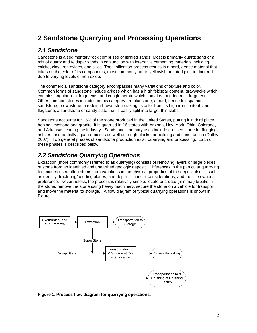## <span id="page-4-1"></span><span id="page-4-0"></span>**2 Sandstone Quarrying and Processing Operations**

#### <span id="page-4-2"></span>*2.1 Sandstone*

Sandstone is a sedimentary rock comprised of lithified sands. Most is primarily quartz sand or a mix of quartz and feldspar sands in conjunction with interstitial cementing materials including calcite, clay, iron oxides, and silica. The lithification process results in a hard, dense material that takes on the color of its components, most commonly tan to yellowish or tinted pink to dark red due to varying levels of iron oxide.

The commercial sandstone category encompasses many variations of texture and color. Common forms of sandstone include arkose which has a high feldspar content, graywacke which contains angular rock fragments, and conglomerate which contains rounded rock fragments. Other common stones included in this category are bluestone, a hard, dense feldspathic sandstone, brownstone, a reddish-brown stone taking its color from its high iron content, and flagstone, a sandstone or sandy slate that is easily split into large, thin slabs.

Sandstone accounts for 15% of the stone produced in the United States, putting it in third place behind limestone and granite. It is quarried in 16 states with Arizona, New York, Ohio, Colorado, and Arkansas leading the industry. Sandstone's primary uses include dressed stone for flagging, ashlars, and partially squared pieces as well as rough blocks for building and construction (Dolley 2007). Two general phases of sandstone production exist: quarrying and processing. Each of these phases is described below.

### <span id="page-4-3"></span>*2.2 Sandstone Quarrying Operations*

Extraction (more commonly referred to as quarrying) consists of removing layers or large pieces of stone from an identified and unearthed geologic deposit. Differences in the particular quarrying techniques used often stems from variations in the physical properties of the deposit itself—such as density, fracturing/bedding planes, and depth—financial considerations, and the site owner's preference. Nevertheless, the process is relatively simple: locate or create (minimal) breaks in the stone, remove the stone using heavy machinery, secure the stone on a vehicle for transport, and move the material to storage. A flow diagram of typical quarrying operations is shown in Figure 1.



<span id="page-4-4"></span>**Figure 1. Process flow diagram for quarrying operations.**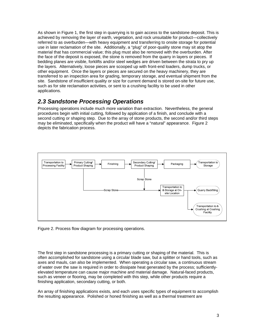<span id="page-5-0"></span>As shown in Figure 1, the first step in quarrying is to gain access to the sandstone deposit. This is achieved by removing the layer of earth, vegetation, and rock unsuitable for product—collectively referred to as overburden—with heavy equipment and transferring to onsite storage for potential use in later reclamation of the site. Additionally, a "plug" of poor-quality stone may sit atop the material that has commercial value; this plug must also be removed with the overburden. After the face of the deposit is exposed, the stone is removed from the quarry in layers or pieces. If bedding planes are visible, forklifts and/or steel wedges are driven between the strata to pry up the layers. Alternatively, loose pieces are scooped up with front-end loaders, dump trucks, or other equipment. Once the layers or pieces are secured on the heavy machinery, they are transferred to an inspection area for grading, temporary storage, and eventual shipment from the site. Sandstone of insufficient quality or size for current demand is stored on-site for future use, such as for site reclamation activities, or sent to a crushing facility to be used in other applications.

#### <span id="page-5-1"></span>*2.3 Sandstone Processing Operations*

Processing operations include much more variation than extraction. Nevertheless, the general procedures begin with initial cutting, followed by application of a finish, and conclude with a second cutting or shaping step. Due to the array of stone products, the second and/or third steps may be eliminated, specifically when the product will have a "natural" appearance. Figure 2 depicts the fabrication process.



<span id="page-5-2"></span>Figure 2. Process flow diagram for processing operations.

The first step in sandstone processing is a primary cutting or shaping of the material. This is often accomplished for sandstone using a circular blade saw, but a splitter or hand tools, such as axes and mauls, can also be implemented. When operating a circular saw, a continuous stream of water over the saw is required in order to dissipate heat generated by the process; sufficientlyelevated temperature can cause major machine and material damage. Natural-faced products, such as veneer or flooring, may be completed with this step, while other products require a finishing application, secondary cutting, or both.

An array of finishing applications exists, and each uses specific types of equipment to accomplish the resulting appearance. Polished or honed finishing as well as a thermal treatment are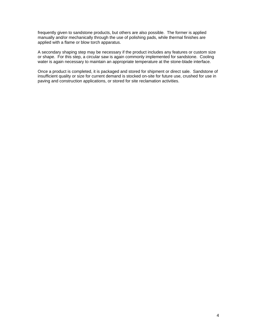frequently given to sandstone products, but others are also possible. The former is applied manually and/or mechanically through the use of polishing pads, while thermal finishes are applied with a flame or blow torch apparatus.

A secondary shaping step may be necessary if the product includes any features or custom size or shape. For this step, a circular saw is again commonly implemented for sandstone. Cooling water is again necessary to maintain an appropriate temperature at the stone-blade interface.

Once a product is completed, it is packaged and stored for shipment or direct sale. Sandstone of insufficient quality or size for current demand is stocked on-site for future use, crushed for use in paving and construction applications, or stored for site reclamation activities.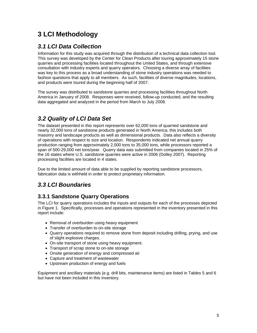## <span id="page-7-1"></span><span id="page-7-0"></span>**3 LCI Methodology**

### <span id="page-7-2"></span>*3.1 LCI Data Collection*

Information for this study was acquired through the distribution of a technical data collection tool. This survey was developed by the Center for Clean Products after touring approximately 15 stone quarries and processing facilities located throughout the United States, and through extensive consultation with industry experts and quarry operators. Choosing a diverse array of facilities was key to this process as a broad understanding of stone industry operations was needed to fashion questions that apply to all members. As such, facilities of diverse magnitudes, locations, and products were toured during the beginning half of 2007.

The survey was distributed to sandstone quarries and processing facilities throughout North America in January of 2008. Responses were received, follow-up conducted, and the resulting data aggregated and analyzed in the period from March to July 2008.

### <span id="page-7-3"></span>*3.2 Quality of LCI Data Set*

The dataset presented in this report represents over 62,000 tons of quarried sandstone and nearly 32,000 tons of sandstone products generated in North America; this includes both masonry and landscape products as well as dimensional products. Data also reflects a diversity of operations with respect to size and location. Respondents indicated net annual quarry production ranging from approximately 2,000 tons to 35,000 tons, while processors reported a span of 500-29,000 net tons/year. Quarry data was submitted from companies located in 25% of the 16 states where U.S. sandstone quarries were active in 2006 (Dolley 2007). Reporting processing facilities are located in 4 states.

Due to the limited amount of data able to be supplied by reporting sandstone processors, fabrication data is withheld in order to protect proprietary information.

### <span id="page-7-4"></span>*3.3 LCI Boundaries*

#### <span id="page-7-5"></span>**3.3.1 Sandstone Quarry Operations**

The LCI for quarry operations includes the inputs and outputs for each of the processes depicted in Figure 1. Specifically, processes and operations represented in the inventory presented in this report include:

- Removal of overburden using heavy equipment
- Transfer of overburden to on-site storage
- Quarry operations required to remove stone from deposit including drilling, prying, and use of slight explosive charges.
- On-site transport of stone using heavy equipment.
- Transport of scrap stone to on-site storage
- Onsite generation of energy and compressed air
- Capture and treatment of wastewater
- Upstream production of energy and fuels

Equipment and ancillary materials (e.g. drill bits, maintenance items) are listed in Tables 5 and 6 but have not been included in this inventory.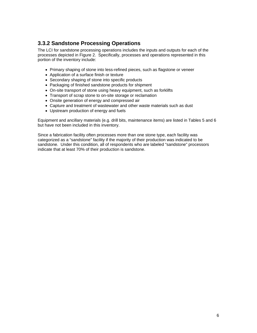#### <span id="page-8-1"></span><span id="page-8-0"></span>**3.3.2 Sandstone Processing Operations**

The LCI for sandstone processing operations includes the inputs and outputs for each of the processes depicted in Figure 2. Specifically, processes and operations represented in this portion of the inventory include:

- Primary shaping of stone into less-refined pieces, such as flagstone or veneer
- Application of a surface finish or texture
- Secondary shaping of stone into specific products
- Packaging of finished sandstone products for shipment
- On-site transport of stone using heavy equipment, such as forklifts
- Transport of scrap stone to on-site storage or reclamation
- Onsite generation of energy and compressed air
- Capture and treatment of wastewater and other waste materials such as dust
- Upstream production of energy and fuels

Equipment and ancillary materials (e.g. drill bits, maintenance items) are listed in Tables 5 and 6 but have not been included in this inventory.

Since a fabrication facility often processes more than one stone type, each facility was categorized as a "sandstone" facility if the majority of their production was indicated to be sandstone. Under this condition, all of respondents who are labeled "sandstone" processors indicate that at least 70% of their production is sandstone.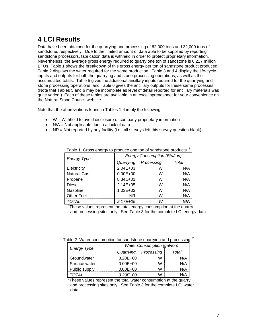## <span id="page-9-1"></span><span id="page-9-0"></span>**4 LCI Results**

Data have been obtained for the quarrying and processing of 62,000 tons and 32,000 tons of sandstone, respectively. Due to the limited amount of data able to be supplied by reporting sandstone processors, fabrication data is withheld in order to protect proprietary information. Nevertheless, the average gross energy required to quarry one ton of sandstone is 0.217 million BTUs. Table 1 shows the breakdown of this gross energy per ton of sandstone product produced. Table 2 displays the water required for the same production. Table 3 and 4 display the life-cycle inputs and outputs for both the quarrying and stone processing operations, as well as their accumulated totals. Table 5 gives the additional ancillary inputs required for the quarrying and stone processing operations, and Table 6 gives the ancillary outputs for these same processes. (Note that Tables 5 and 6 may be incomplete as level of detail reported for ancillary materials was quite varied.) Each of these tables are available in an excel spreadsheet for your convenience on the Natural Stone Council website.

Note that the abbreviations found in Tables 1-4 imply the following:

- W = Withheld to avoid disclosure of company proprietary information
- $\bullet$  N/A = Not applicable due to a lack of data
- <span id="page-9-2"></span>• NR = Not reported by any facility (i.e., all surveys left this survey question blank)

| <b>Energy Type</b> | <b>Energy Consumption (Btu/ton)</b> |            |       |  |  |  |
|--------------------|-------------------------------------|------------|-------|--|--|--|
|                    | Quarrying                           | Processing | Total |  |  |  |
| Electricity        | $2.04E + 03$                        | W          | N/A   |  |  |  |
| <b>Natural Gas</b> | $0.00E + 00$                        | W          | N/A   |  |  |  |
| Propane            | 8.34E+01                            | W          | N/A   |  |  |  |
| <b>Diesel</b>      | $2.14E + 05$                        | W          | N/A   |  |  |  |
| Gasoline           | $1.03E + 03$                        | W          | N/A   |  |  |  |
| <b>Other Fuel</b>  | ΝR                                  | W          | N/A   |  |  |  |
| TOTAL              | $2.17E + 0.5$                       | w          | N/A   |  |  |  |

Table 1. Gross energy to produce one ton of sandstone products.<sup>1</sup>

<sup>1</sup>These values represent the total energy consumption at the quarry and processing sites only. See Table 3 for the complete LCI energy data.

<span id="page-9-3"></span>

|  |  |  | Table 2. Water consumption for sandstone quarrying and processing. |  |
|--|--|--|--------------------------------------------------------------------|--|

| <b>Energy Type</b> | Water Consumption (gal/ton) |            |       |  |  |  |  |
|--------------------|-----------------------------|------------|-------|--|--|--|--|
|                    | Quarrying                   | Processing | Total |  |  |  |  |
| Groundwater        | $3.20E + 00$                | W          | N/A   |  |  |  |  |
| Surface water      | $0.00E + 00$                | w          | N/A   |  |  |  |  |
| Public supply      | $0.00E + 00$                | w          | N/A   |  |  |  |  |
| TOTAL              | $3.20E + 00$                | W          | N/A   |  |  |  |  |

 $2$ These values represent the total water consumption at the quarry and processing sites only. See Table 3 for the complete LCI water data.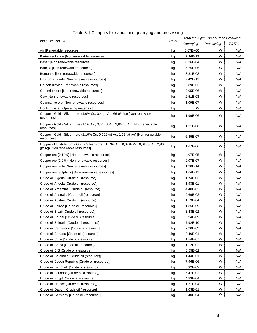<span id="page-10-1"></span><span id="page-10-0"></span>

| <b>Input Description</b>                                                                                              | Units | Total Input per Ton of Stone Produced |            |              |
|-----------------------------------------------------------------------------------------------------------------------|-------|---------------------------------------|------------|--------------|
|                                                                                                                       |       | Quarrying                             | Processing | <b>TOTAL</b> |
| Air [Renewable resources]                                                                                             | kg    | $6.67E + 00$                          | W          | N/A          |
| Barium sulphate [Non renewable resources]                                                                             | kg    | 2.36E-13                              | W          | N/A          |
| Basalt INon renewable resources]                                                                                      | kg    | 8.36E-04                              | W          | N/A          |
| Bauxite [Non renewable resources]                                                                                     | kg    | 5.25E-05                              | W          | N/A          |
| Bentonite [Non renewable resources]                                                                                   | kg    | 3.81E-02                              | W          | N/A          |
| Calcium chloride [Non renewable resources]                                                                            | kg    | 2.42E-11                              | W          | N/A          |
| Carbon dioxide [Renewable resources]                                                                                  | kg    | 2.89E-02                              | W          | N/A          |
| Chromium ore [Non renewable resources]                                                                                | kg    | 2.05E-06                              | W          | N/A          |
| Clay [Non renewable resources]                                                                                        | kg    | 2.51E-03                              | W          | N/A          |
| Colemanite ore [Non renewable resources]                                                                              | kg    | 1.09E-07                              | W          | N/A          |
| Cooling water [Operating materials]                                                                                   | kg    | W                                     | W          | N/A          |
| Copper - Gold - Silver - ore (1,0% Cu; 0,4 g/t Au; 66 g/t Ag) [Non renewable<br>resources]                            | kg    | 1.99E-06                              | W          | N/A          |
| Copper - Gold - Silver - ore (1,1% Cu; 0,01 g/t Au; 2,86 g/t Ag) [Non renewable<br>resources]                         | kg    | 1.21E-06                              | W          | N/A          |
| Copper - Gold - Silver - ore (1,16% Cu; 0,002 g/t Au; 1,06 g/t Ag) [Non renewable<br>resourcesl                       | kg    | 6.85E-07                              | W          | N/A          |
| Copper - Molybdenum - Gold - Silver - ore (1,13% Cu; 0,02% Mo; 0,01 g/t Au; 2,86<br>g/t Ag) [Non renewable resources] | kg    | 1.67E-06                              | W          | N/A          |
| Copper ore (0.14%) [Non renewable resources]                                                                          | kg    | 4.07E-05                              | W          | N/A          |
| Copper ore (1.2%) [Non renewable resources]                                                                           | kg    | 2.07E-07                              | W          | N/A          |
| Copper ore (4%) [Non renewable resources]                                                                             | kg    | 1.38E-14                              | W          | N/A          |
| Copper ore (sulphidic) [Non renewable resources]                                                                      | kg    | 1.64E-11                              | W          | N/A          |
| Crude oil Algeria [Crude oil (resource)]                                                                              | kg    | 1.74E-02                              | W          | N/A          |
| Crude oil Angola [Crude oil (resource)]                                                                               | kg    | 1.93E-01                              | W          | N/A          |
| Crude oil Argentina [Crude oil (resource)]                                                                            | kg    | 4.40E-02                              | W          | N/A          |
| Crude oil Australia [Crude oil (resource)]                                                                            | kg    | 2.69E-02                              | W          | N/A          |
| Crude oil Austria [Crude oil (resource)]                                                                              | kg    | 1.19E-04                              | W          | N/A          |
| Crude oil Bolivia [Crude oil (resource)]                                                                              | kg    | 1.35E-09                              | W          | N/A          |
| Crude oil Brazil [Crude oil (resource)]                                                                               | kg    | 3.48E-02                              | W          | N/A          |
| Crude oil Brunei [Crude oil (resource)]                                                                               | kg    | 3.94E-09                              | W          | N/A          |
| Crude oil Bulgaria [Crude oil (resource)]                                                                             | kg    | 7.92E-10                              | W          | N/A          |
| Crude oil Cameroon [Crude oil (resource)]                                                                             | kg    | 7.38E-03                              | W          | N/A          |
| Crude oil Canada [Crude oil (resource)]                                                                               | kg    | 8.40E-01                              | W          | N/A          |
| Crude oil Chile [Crude oil (resource)]                                                                                | kg    | 1.54E-07                              | W          | N/A          |
| Crude oil China [Crude oil (resource)]                                                                                | kg    | 1.12E-02                              | W          | N/A          |
| Crude oil CIS [Crude oil (resource)]                                                                                  | kg    | 6.55E-02                              | W          | N/A          |
| Crude oil Colombia [Crude oil (resource)]                                                                             | kg    | 1.44E-01                              | W          | N/A          |
| Crude oil Czech Republic [Crude oil (resource)]                                                                       | kg    | 7.96E-06                              | W          | N/A          |
| Crude oil Denmark [Crude oil (resource)]                                                                              | kg    | 5.32E-03                              | W          | N/A          |
| Crude oil Ecuador [Crude oil (resource)]                                                                              | kg    | 6.47E-02                              | W          | N/A          |
| Crude oil Eqypt [Crude oil (resource)]                                                                                | kg    | 4.83E-04                              | W          | N/A          |
| Crude oil France [Crude oil (resource)]                                                                               | kg    | 1.71E-04                              | W          | N/A          |
| Crude oil Gabon [Crude oil (resource)]                                                                                | kg    | 1.03E-01                              | W          | N/A          |
| Crude oil Germany [Crude oil (resource)]                                                                              | kg    | 5.40E-04                              | W          | N/A          |

| Table 3. LCI inputs for sandstone quarrying and processing. |
|-------------------------------------------------------------|
|-------------------------------------------------------------|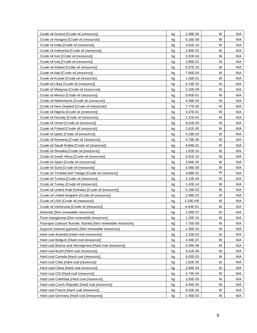| Crude oil Greece [Crude oil (resource)]                          | kg | 2.38E-05 | W | N/A |
|------------------------------------------------------------------|----|----------|---|-----|
| Crude oil Hungary [Crude oil (resource)]                         | kg | 3.18E-08 | W | N/A |
| Crude oil India [Crude oil (resource)]                           | kg | 3.61E-10 | W | N/A |
| Crude oil Indonesia [Crude oil (resource)]                       | kg | 2.85E-02 | W | N/A |
| Crude oil Iran [Crude oil (resource)]                            | kg | 3.32E-03 | W | N/A |
| Crude oil Iraq [Crude oil (resource)]                            | kg | 2.85E-01 | W | N/A |
| Crude oil Ireland [Crude oil (resource)]                         | kg | 6.07E-10 | W | N/A |
| Crude oil Italy [Crude oil (resource)]                           | kg | 7.56E-04 | W | N/A |
| Crude oil Kuwait [Crude oil (resource)]                          | kg | 1.26E-01 | W | N/A |
| Crude oil Libya [Crude oil (resource)]                           | kg | 5.13E-03 | W | N/A |
| Crude oil Malaysia [Crude oil (resource)]                        | kg | 2.16E-09 | W | N/A |
| Crude oil Mexico [Crude oil (resource)]                          | kg | 8.80E-01 | W | N/A |
| Crude oil Netherlands [Crude oil (resource)]                     | kg | 4.59E-04 | W | N/A |
| Crude oil New Zealand [Crude oil (resource)]                     | kg | 7.77E-06 | W | N/A |
| Crude oil Nigeria [Crude oil (resource)]                         | kg | 3.47E-01 | W | N/A |
| Crude oil Norway [Crude oil (resource)]                          | kg | 2.31E-01 | W | N/A |
| Crude oil Oman [Crude oil (resource)]                            | kg | 9.52E-03 | W | N/A |
| Crude oil Poland [Crude oil (resource)]                          | kg | 2.61E-05 | W | N/A |
| Crude oil Qatar [Crude oil (resource)]                           | kg | 5.18E-03 | W | N/A |
| Crude oil Romania [Crude oil (resource)]                         | kg | 4.76E-05 | W | N/A |
| Crude oil Saudi Arabia [Crude oil (resource)]                    | kg | 8.84E-01 | W | N/A |
| Crude oil Slovakia [Crude oil (resource)]                        | kg | 1.02E-10 | W | N/A |
| Crude oil South Africa [Crude oil (resource)]                    | kg | 5.91E-10 | W | N/A |
| Crude oil Spain [Crude oil (resource)]                           | kg | 3.96E-05 | W | N/A |
| Crude oil Syria [Crude oil (resource)]                           | kg | 4.58E-09 | W | N/A |
| Crude oil Trinidad and Tobago [Crude oil (resource)]             | kg | 3.89E-02 | W | N/A |
| Crude oil Tunisia [Crude oil (resource)]                         | kg | 2.12E-04 | W | N/A |
| Crude oil Turkey [Crude oil (resource)]                          | kg | 1.42E-14 | W | N/A |
| Crude oil United Arab Emirates [Crude oil (resource)]            | kg | 5.19E-03 | W | N/A |
| Crude oil United Kingdom [Crude oil (resource)]                  | kg | 2.49E-01 | W | N/A |
| Crude oil USA [Crude oil (resource)]                             | kg | 3.20E+00 | W | N/A |
| Crude oil Venezuela [Crude oil (resource)]                       | kg | 8.64E-01 | W | N/A |
| Dolomite [Non renewable resources]                               | kg | 1.59E-07 | W | N/A |
| Ferro manganese [Non renewable resources]                        | kg | 1.15E-15 | W | N/A |
| Fluorspar (calcium fluoride; fluorite) [Non renewable resources] | kg | 7.76E-08 | W | N/A |
| Gypsum (natural gypsum) [Non renewable resources]                | kg | 1.38E-03 | W | N/A |
| Hard coal Australia [Hard coal (resource)]                       | kg | 1.10E-03 | W | N/A |
| Hard coal Belgium [Hard coal (resource)]                         | kg | 4.46E-07 | W | N/A |
| Hard coal Bosnia and Herzegovina [Hard coal (resource)]          | kg | 6.39E-08 | W | N/A |
| Hard coal Brazil [Hard coal (resource)]                          | kg | 4.31E-06 | W | N/A |
| Hard coal Canada [Hard coal (resource)]                          | kg | 6.63E-03 | W | N/A |
| Hard coal Chile [Hard coal (resource)]                           | kg | 1.62E-05 | W | N/A |
| Hard coal China [Hard coal (resource)]                           | kg | 2.94E-04 | W | N/A |
| Hard coal CIS [Hard coal (resource)]                             | kg | 2.74E-04 | W | N/A |
| Hard coal Colombia [Hard coal (resource)]                        | kg | 3.50E-03 | W | N/A |
| Hard coal Czech Republic [Hard coal (resource)]                  | kg | 6.44E-05 | W | N/A |
| Hard coal France [Hard coal (resource)]                          | kg | 8.32E-06 | W | N/A |
| Hard coal Germany [Hard coal (resource)]                         | kg | 1.40E-03 | W | N/A |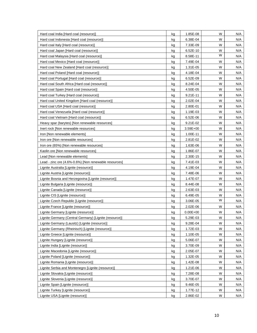| Hard coal India [Hard coal (resource)]                 | kg | 1.85E-08     | W | N/A |
|--------------------------------------------------------|----|--------------|---|-----|
| Hard coal Indonesia [Hard coal (resource)]             | kg | 6.38E-04     | W | N/A |
| Hard coal Italy [Hard coal (resource)]                 | kg | 7.33E-09     | W | N/A |
| Hard coal Japan [Hard coal (resource)]                 | kg | 6.52E-10     | W | N/A |
| Hard coal Malaysia [Hard coal (resource)]              | kg | 8.58E-11     | W | N/A |
| Hard coal Mexico [Hard coal (resource)]                | kg | 7.49E-04     | W | N/A |
| Hard coal New Zealand [Hard coal (resource)]           | kg | 1.31E-05     | W | N/A |
| Hard coal Poland [Hard coal (resource)]                | kg | 4.18E-04     | W | N/A |
| Hard coal Portugal [Hard coal (resource)]              | kg | 6.52E-09     | W | N/A |
| Hard coal South Africa [Hard coal (resource)]          | kg | 8.24E-04     | W | N/A |
| Hard coal Spain [Hard coal (resource)]                 | kg | 4.50E-05     | W | N/A |
| Hard coal Turkey [Hard coal (resource)]                | kg | $9.21E - 11$ | W | N/A |
| Hard coal United Kingdom [Hard coal (resource)]        | kg | 2.02E-04     | W | N/A |
| Hard coal USA [Hard coal (resource)]                   | kg | 2.80E-01     | W | N/A |
| Hard coal Venezuela [Hard coal (resource)]             | kg | 1.19E-03     | W | N/A |
| Hard coal Vietnam [Hard coal (resource)]               | kg | 6.52E-06     | W | N/A |
| Heavy spar (barytes) [Non renewable resources]         | kg | 9.21E-02     | W | N/A |
| Inert rock [Non renewable resources]                   | kg | 3.59E+00     | W | N/A |
| Iron [Non renewable elements]                          | kg | 1.00E-11     | W | N/A |
| Iron ore [Non renewable resources]                     | kg | 2.81E-02     | W | N/A |
| Iron ore (65%) [Non renewable resources]               | kg | 1.63E-06     | W | N/A |
| Kaolin ore [Non renewable resources]                   | kg | 1.86E-07     | W | N/A |
| Lead [Non renewable elements]                          | kg | 2.30E-15     | W | N/A |
| Lead - zinc ore (4.6%-0.6%) [Non renewable resources]  | kg | 7.41E-03     | W | N/A |
| Lignite Australia [Lignite (resource)]                 | kg | 4.19E-04     | W | N/A |
| Lignite Austria [Lignite (resource)]                   | kg | 7.48E-06     | W | N/A |
| Lignite Bosnia and Herzegovina [Lignite (resource)]    | kg | 1.47E-07     | W | N/A |
| Lignite Bulgaria [Lignite (resource)]                  | kg | 8.44E-08     | W | N/A |
| Lignite Canada [Lignite (resource)]                    | kg | 2.63E-03     | W | N/A |
| Lignite CIS [Lignite (resource)]                       | kg | 6.49E-05     | W | N/A |
| Lignite Czech Republic [Lignite (resource)]            | kg | 3.06E-05     | W | N/A |
| Lignite France [Lignite (resource)]                    | kg | 2.02E-06     | W | N/A |
| Lignite Germany [Lignite (resource)]                   | kg | $0.00E + 00$ | W | N/A |
| Lignite Germany (Central Germany) [Lignite (resource)] | kg | 5.29E-03     | W | N/A |
| Lignite Germany (Lausitz) [Lignite (resource)]         | kg | 9.28E-04     | W | N/A |
| Lignite Germany (Rheinisch) [Lignite (resource)]       | kg | 1.72E-03     | W | N/A |
| Lignite Greece [Lignite (resource)]                    | kg | 1.10E-05     | W | N/A |
| Lignite Hungary [Lignite (resource)]                   | kg | 5.06E-07     | W | N/A |
| Lignite India [Lignite (resource)]                     | kg | 3.70E-09     | W | N/A |
| Lignite Macedonia [Lignite (resource)]                 | kg | 2.05E-07     | W | N/A |
| Lignite Poland [Lignite (resource)]                    | kg | 1.32E-05     | W | N/A |
| Lignite Romania [Lignite (resource)]                   | kg | 1.42E-08     | W | N/A |
| Lignite Serbia and Montenegro [Lignite (resource)]     | kg | 1.21E-06     | W | N/A |
| Lignite Slovakia [Lignite (resource)]                  | kg | 7.28E-08     | W | N/A |
| Lignite Slovenia [Lignite (resource)]                  | kg | 3.70E-07     | W | N/A |
| Lignite Spain [Lignite (resource)]                     | kg | 9.46E-05     | W | N/A |
| Lignite Turkey [Lignite (resource)]                    | kg | 1.77E-12     | W | N/A |
| Lignite USA [Lignite (resource)]                       | kg | 2.86E-02     | W | N/A |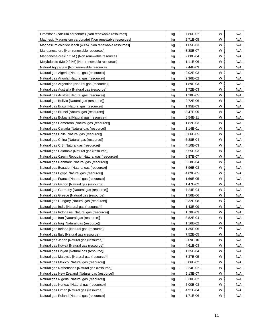| Limestone (calcium carbonate) [Non renewable resources]  | kg | 7.86E-02 | W | N/A |
|----------------------------------------------------------|----|----------|---|-----|
| Magnesit (Magnesium carbonate) [Non renewable resources] | kg | 2.71E-08 | W | N/A |
| Magnesium chloride leach (40%) [Non renewable resources] | kg | 1.05E-03 | W | N/A |
| Manganese ore [Non renewable resources]                  | kg | 3.88E-07 | W | N/A |
| Manganese ore (R.O.M.) [Non renewable resources]         | kg | 2.88E-04 | W | N/A |
| Molybdenite (Mo 0,24%) [Non renewable resources]         | kg | 1.11E-06 | W | N/A |
| Natural Aggregate [Non renewable resources]              | kg | 7.44E-03 | W | N/A |
| Natural gas Algeria [Natural gas (resource)]             | kg | 2.02E-03 | W | N/A |
| Natural gas Angola [Natural gas (resource)]              | kg | 2.36E-02 | W | N/A |
| Natural gas Argentina [Natural gas (resource)]           | kg | 1.89E-03 | W | N/A |
| Natural gas Australia [Natural gas (resource)]           | kg | 1.72E-03 | W | N/A |
| Natural gas Austria [Natural gas (resource)]             | kg | 1.28E-05 | W | N/A |
| Natural gas Bolivia [Natural gas (resource)]             | kg | 2.72E-06 | W | N/A |
| Natural gas Brazil [Natural gas (resource)]              | kg | 1.95E-03 | W | N/A |
| Natural gas Brunei [Natural gas (resource)]              | kg | 3.47E-05 | W | N/A |
| Natural gas Bulgaria [Natural gas (resource)]            | kg | 6.54E-11 | W | N/A |
| Natural gas Cameroon [Natural gas (resource)]            | kg | 1.82E-03 | W | N/A |
| Natural gas Canada [Natural gas (resource)]              | kg | 1.14E-01 | W | N/A |
| Natural gas Chile [Natural gas (resource)]               | kg | 3.66E-05 | W | N/A |
| Natural gas China [Natural gas (resource)]               | kg | 5.88E-04 | W | N/A |
| Natural gas CIS [Natural gas (resource)]                 | kg | 4.10E-03 | W | N/A |
| Natural gas Colombia [Natural gas (resource)]            | kg | 6.55E-03 | W | N/A |
| Natural gas Czech Republic [Natural gas (resource)]      | kg | 5.87E-07 | W | N/A |
| Natural gas Denmark [Natural gas (resource)]             | kg | 3.28E-04 | W | N/A |
| Natural gas Ecuador [Natural gas (resource)]             | kg | 3.96E-03 | W | N/A |
| Natural gas Egypt [Natural gas (resource)]               | kg | 4.89E-05 | W | N/A |
| Natural gas France [Natural gas (resource)]              | kg | 1.66E-05 | W | N/A |
| Natural gas Gabon [Natural gas (resource)]               | kg | 1.47E-02 | W | N/A |
| Natural gas Germany [Natural gas (resource)]             | kg | 7.24E-04 | W | N/A |
| Natural gas Greece [Natural gas (resource)]              | kg | 1.56E-06 | W | N/A |
| Natural gas Hungary [Natural gas (resource)]             | kg | 3.32E-08 | W | N/A |
| Natural gas India [Natural gas (resource)]               | kg | 1.43E-09 | W | N/A |
| Natural gas Indonesia [Natural gas (resource)]           | kg | 1.78E-03 | W | N/A |
| Natural gas Iran [Natural gas (resource)]                | kg | 3.82E-04 | W | N/A |
| Natural gas Iraq [Natural gas (resource)]                | kg | 1.16E-02 | W | N/A |
| Natural gas Ireland [Natural gas (resource)]             | kg | 1.35E-06 | W | N/A |
| Natural gas Italy [Natural gas (resource)]               | kg | 7.52E-05 | W | N/A |
| Natural gas Japan [Natural gas (resource)]               | kg | 2.09E-10 | W | N/A |
| Natural gas Kuwait [Natural gas (resource)]              | kg | 4.61E-03 | W | N/A |
| Natural gas Libyan [Natural gas (resource)]              | kg | 1.35E-04 | W | N/A |
| Natural gas Malaysia [Natural gas (resource)]            | kg | 3.37E-05 | W | N/A |
| Natural gas Mexico [Natural gas (resource)]              | kg | 5.06E-02 | W | N/A |
| Natural gas Netherlands [Natural gas (resource)]         | kg | 2.24E-02 | W | N/A |
| Natural gas New Zealand [Natural gas (resource)]         | kg | 5.13E-07 | W | N/A |
| Natural gas Nigeria [Natural gas (resource)]             | kg | 6.30E-02 | W | N/A |
| Natural gas Norway [Natural gas (resource)]              | kg | 5.00E-03 | W | N/A |
| Natural gas Oman [Natural gas (resource)]                | kg | 4.91E-04 | W | N/A |
| Natural gas Poland [Natural gas (resource)]              | kg | 1.71E-06 | W | N/A |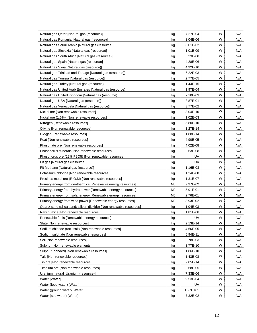| Natural gas Qatar [Natural gas (resource)]                           | kg | 7.27E-04     | W | N/A |
|----------------------------------------------------------------------|----|--------------|---|-----|
| Natural gas Romania [Natural gas (resource)]                         | kg | 3.04E-06     | W | N/A |
| Natural gas Saudi Arabia [Natural gas (resource)]                    | kg | 3.01E-02     | W | N/A |
| Natural gas Slovakia [Natural gas (resource)]                        | kg | 1.01E-09     | W | N/A |
| Natural gas South Africa [Natural gas (resource)]                    | kg | 8.23E-08     | W | N/A |
| Natural gas Spain [Natural gas (resource)]                           | kg | 4.28E-06     | W | N/A |
| Natural gas Syria [Natural gas (resource)]                           | kg | 4.92E-10     | W | N/A |
| Natural gas Trinidad and Tobago [Natural gas (resource)]             | kg | 6.22E-03     | W | N/A |
| Natural gas Tunisia [Natural gas (resource)]                         | kg | 2.77E-05     | W | N/A |
| Natural gas Turkey [Natural gas (resource)]                          | kg | 1.44E-15     | W | N/A |
| Natural gas United Arab Emirates [Natural gas (resource)]            | kg | 1.97E-04     | W | N/A |
| Natural gas United Kingdom [Natural gas (resource)]                  | kg | 7.10E-03     | W | N/A |
| Natural gas USA [Natural gas (resource)]                             | kg | 3.87E-01     | W | N/A |
| Natural gas Venezuela [Natural gas (resource)]                       | kg | 3.77E-02     | W | N/A |
| Nickel ore [Non renewable resources]                                 | kg | 3.04E-10     | W | N/A |
| Nickel ore (1.6%) [Non renewable resources]                          | kg | 1.02E-03     | W | N/A |
| Nitrogen [Renewable resources]                                       | kg | 5.80E-10     | W | N/A |
| Olivine [Non renewable resources]                                    | kg | 1.27E-14     | W | N/A |
| Oxygen [Renewable resources]                                         | kg | 1.88E-14     | W | N/A |
| Peat [Non renewable resources]                                       | kg | 4.90E-05     | W | N/A |
| Phosphate ore [Non renewable resources]                              | kg | 4.02E-08     | W | N/A |
| Phosphorus minerals [Non renewable resources]                        | kg | 2.63E-08     | W | N/A |
| Phosphorus ore (29% P2O5) [Non renewable resources]                  | kg | UA           | W | N/A |
| Pit gas [Natural gas (resource)]                                     | kg | UA           | W | N/A |
| Pit Methane [Natural gas (resource)]                                 | kg | 1.16E-03     | W | N/A |
| Potassium chloride [Non renewable resources]                         | kg | 1.24E-08     | W | N/A |
| Precious metal ore (R.O.M) [Non renewable resources]                 | kg | 1.31E-07     | W | N/A |
| Primary energy from geothermics [Renewable energy resources]         | MJ | 9.97E-02     | W | N/A |
| Primary energy from hydro power [Renewable energy resources]         | MJ | 5.91E-01     | W | N/A |
| Primary energy from solar energy [Renewable energy resources]        | MJ | 2.76E-01     | W | N/A |
| Primary energy from wind power [Renewable energy resources]          | MJ | 3.93E-02     | W | N/A |
| Quartz sand (silica sand; silicon dioxide) [Non renewable resources] | kg | 1.04E-03     | W | N/A |
| Raw pumice [Non renewable resources]                                 | kg | 1.81E-08     | W | N/A |
| Renewable fuels [Renewable energy resources]                         | kg | UA           | W | N/A |
| Slate [Non renewable resources]                                      | kg | 2.13E-14     | W | N/A |
| Sodium chloride (rock salt) [Non renewable resources]                | kg | 4.66E-05     | W | N/A |
| Sodium sulphate [Non renewable resources]                            | kg | 5.94E-11     | W | N/A |
| Soil [Non renewable resources]                                       | kg | 2.78E-03     | W | N/A |
| Sulphur [Non renewable elements]                                     | kg | 3.77E-10     | W | N/A |
| Sulphur (bonded) [Non renewable resources]                           | kg | 1.86E-10     | W | N/A |
| Talc [Non renewable resources]                                       | kg | 1.43E-08     | W | N/A |
| Tin ore [Non renewable resources]                                    | kg | 2.05E-14     | W | N/A |
| Titanium ore [Non renewable resources]                               | kg | 9.68E-05     | W | N/A |
| Uranium natural [Uranium (resource)]                                 | kg | 7.33E-06     | W | N/A |
| Water [Water]                                                        | kg | 9.53E-04     | W | N/A |
| Water (feed water) [Water]                                           | kg | UA           | W | N/A |
| Water (ground water) [Water]                                         | kg | $1.27E + 01$ | W | N/A |
| Water (sea water) [Water]                                            | kg | 7.32E-02     | W | N/A |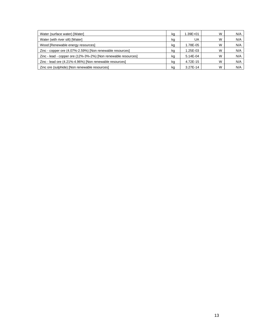| Water (surface water) [Water]                                  | kg | 1.39E+01   | W | N/A |
|----------------------------------------------------------------|----|------------|---|-----|
| Water (with river silt) [Water]                                | kg | UA         | W | N/A |
| Wood [Renewable energy resources]                              | kg | 1.78E-05   | W | N/A |
| Zinc - copper ore (4.07%-2.59%) [Non renewable resources]      | kq | 1.25E-03   | W | N/A |
| Zinc - lead - copper ore (12%-3%-2%) [Non renewable resources] | kq | $5.14E-04$ | W | N/A |
| Zinc - lead ore (4.21%-4.96%) [Non renewable resources]        | kg | 4.72E-15   | W | N/A |
| Zinc ore (sulphide) [Non renewable resources]                  | ka | 3.27E-14   | W | N/A |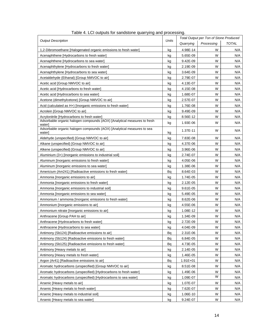<span id="page-16-1"></span><span id="page-16-0"></span>

| <b>Output Description</b>                                                          | Units |              | Total Output per Ton of Stone Produced |              |
|------------------------------------------------------------------------------------|-------|--------------|----------------------------------------|--------------|
|                                                                                    |       | Quarrying    | Processing                             | <b>TOTAL</b> |
| 1,2-Dibromoethane [Halogenated organic emissions to fresh water]                   | kg    | 4.98E-14     | W                                      | N/A          |
| Acenaphthene [Hydrocarbons to fresh water]                                         | kg    | 5.65E-09     | W                                      | N/A          |
| Acenaphthene [Hydrocarbons to sea water]                                           | kg    | 9.42E-09     | W                                      | N/A          |
| Acenaphthylene [Hydrocarbons to fresh water]                                       | kg    | 2.19E-09     | W                                      | N/A          |
| Acenaphthylene [Hydrocarbons to sea water]                                         | kg    | 3.64E-09     | W                                      | N/A          |
| Acetaldehyde (Ethanal) [Group NMVOC to air]                                        | kg    | 2.79E-07     | W                                      | N/A          |
| Acetic acid [Group NMVOC to air]                                                   | kg    | 4.13E-07     | W                                      | N/A          |
| Acetic acid [Hydrocarbons to fresh water]                                          | kg    | 4.15E-08     | W                                      | N/A          |
| Acetic acid [Hydrocarbons to sea water]                                            | kg    | 1.68E-07     | W                                      | N/A          |
| Acetone (dimethylcetone) [Group NMVOC to air]                                      | kg    | 2.57E-07     | W                                      | N/A          |
| Acid (calculated as H+) [Inorganic emissions to fresh water]                       | kg    | 1.76E-08     | W                                      | N/A          |
| Acrolein [Group NMVOC to air]                                                      | kg    | 9.49E-09     | W                                      | N/A          |
| Acrylonitrile [Hydrocarbons to fresh water]                                        | kg    | 8.56E-12     | W                                      | N/A          |
| Adsorbable organic halogen compounds (AOX) [Analytical measures to fresh<br>water] | kg    | 1.93E-06     | W                                      | N/A          |
| Adsorbable organic halogen compounds (AOX) [Analytical measures to sea<br>water]   | kg    | 1.37E-11     | W                                      | N/A          |
| Aldehyde (unspecified) [Group NMVOC to air]                                        | kg    | 7.83E-08     | W                                      | N/A          |
| Alkane (unspecified) [Group NMVOC to air]                                          | kg    | 4.37E-06     | W                                      | N/A          |
| Alkene (unspecified) [Group NMVOC to air]                                          | kg    | 3.96E-06     | W                                      | N/A          |
| Aluminium (3+) [Inorganic emissions to industrial soil]                            | kg    | 2.74E-07     | W                                      | N/A          |
| Aluminum [Inorganic emissions to fresh water]                                      | kg    | 4.05E-06     | W                                      | N/A          |
| Aluminum [Inorganic emissions to sea water]                                        | kg    | 1.38E-06     | W                                      | N/A          |
| Americium (Am241) [Radioactive emissions to fresh water]                           | Bq    | 8.64E-03     | W                                      | N/A          |
| Ammonia [Inorganic emissions to air]                                               | kg    | 1.74E-05     | W                                      | N/A          |
| Ammonia [Inorganic emissions to fresh water]                                       | kg    | 2.12E-05     | W                                      | N/A          |
| Ammonia [Inorganic emissions to industrial soil]                                   | kg    | 9.61E-05     | W                                      | N/A          |
| Ammonia [Inorganic emissions to sea water]                                         | kg    | 5.49E-05     | W                                      | N/A          |
| Ammonium / ammonia [Inorganic emissions to fresh water]                            | kg    | 8.62E-06     | W                                      | N/A          |
| Ammonium [Inorganic emissions to air]                                              | kg    | 4.55E-06     | W                                      | N/A          |
| Ammonium nitrate [Inorganic emissions to air]                                      | kg    | 1.08E-12     | W                                      | N/A          |
| Anthracene [Group PAH to air]                                                      | kg    | 1.34E-09     | W                                      | N/A          |
| Anthracene [Hydrocarbons to fresh water]                                           | kg    | 2.72E-09     | W                                      | N/A          |
| Anthracene [Hydrocarbons to sea water]                                             | kg    | 4.04E-09     | W                                      | N/A          |
| Antimony (Sb124) [Radioactive emissions to air]                                    | Bq    | 2.31E-06     | W                                      | N/A          |
| Antimony (Sb124) [Radioactive emissions to fresh water]                            | Bq    | 6.84E-05     | W                                      | N/A          |
| Antimony (Sb125) [Radioactive emissions to fresh water]                            | Bq    | 4.73E-05     | W                                      | N/A          |
| Antimony [Heavy metals to air]                                                     | kg    | 2.14E-05     | W                                      | N/A          |
| Antimony [Heavy metals to fresh water]                                             | kg    | 1.46E-05     | W                                      | N/A          |
| Argon (Ar41) [Radioactive emissions to air]                                        | Bq    | $1.91E + 01$ | W                                      | N/A          |
| Aromatic hydrocarbons (unspecified) [Group NMVOC to air]                           | kg    | 8.51E-08     | W                                      | N/A          |
| Aromatic hydrocarbons (unspecified) [Hydrocarbons to fresh water]                  | kg    | 1.49E-06     | W                                      | N/A          |
| Aromatic hydrocarbons (unspecified) [Hydrocarbons to sea water]                    | kg    | 1.09E-07     | W                                      | N/A          |
| Arsenic [Heavy metals to air]                                                      | kg    | 1.07E-07     | W                                      | N/A          |
| Arsenic [Heavy metals to fresh water]                                              | kg    | 7.62E-07     | W                                      | N/A          |
| Arsenic [Heavy metals to industrial soil]                                          | kg    | 1.06E-10     | W                                      | N/A          |
| Arsenic [Heavy metals to sea water]                                                | kg    | 9.24E-07     | W                                      | N/A          |

| Table 4. LCI outputs for sandstone quarrying and processing. |  |
|--------------------------------------------------------------|--|
|                                                              |  |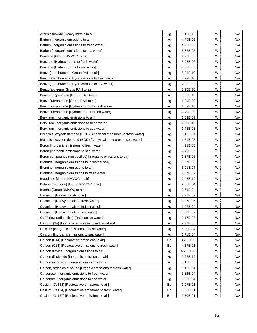| Arsenic trioxide [Heavy metals to air]                              | kg | 5.12E-12 | W | N/A |
|---------------------------------------------------------------------|----|----------|---|-----|
| Barium [Inorganic emissions to air]                                 | kg | 4.40E-05 | W | N/A |
| Barium [Inorganic emissions to fresh water]                         | kg | 4.90E-06 | W | N/A |
| Barium [Inorganic emissions to sea water]                           | kg | 3.37E-05 | W | N/A |
| Benzene [Group NMVOC to air]                                        | kg | 4.70E-06 | W | N/A |
| Benzene [Hydrocarbons to fresh water]                               | kg | 5.98E-06 | W | N/A |
| Benzene [Hydrocarbons to sea water]                                 | kg | 5.62E-06 | W | N/A |
| Benzo{a}anthracene [Group PAH to air]                               | kg | 5.03E-10 | W | N/A |
| Benzo{a}anthracene [Hydrocarbons to fresh water]                    | kg | 3.73E-10 | W | N/A |
| Benzo{a}anthracene [Hydrocarbons to sea water]                      | kg | 2.99E-09 | W | N/A |
| Benzo{a}pyrene [Group PAH to air]                                   | kg | 3.90E-10 | W | N/A |
| Benzo{ghi}perylene [Group PAH to air]                               | kg | 6.03E-10 | W | N/A |
| Benzofluoranthene [Group PAH to air]                                | kg | 1.89E-09 | W | N/A |
| Benzofluoranthene [Hydrocarbons to fresh water]                     | kg | 1.63E-10 | W | N/A |
| Benzofluoranthene [Hydrocarbons to sea water]                       | kg | 2.49E-09 | W | N/A |
| Beryllium [Inorganic emissions to air]                              | kg | 1.83E-09 | W | N/A |
| Beryllium [Inorganic emissions to fresh water]                      | kg | 1.89E-10 | W | N/A |
| Beryllium [Inorganic emissions to sea water]                        | kg | 1.48E-08 | W | N/A |
| Biological oxygen demand (BOD) [Analytical measures to fresh water] | kg | 1.15E-04 | W | N/A |
| Biological oxygen demand (BOD) [Analytical measures to sea water]   | kg | 1.51E-05 | W | N/A |
| Boron [Inorganic emissions to fresh water]                          | kg | 4.91E-06 | W | N/A |
| Boron [Inorganic emissions to sea water]                            | kg | 2.42E-06 | W | N/A |
| Boron compounds (unspecified) [Inorganic emissions to air]          | kg | 1.87E-06 | W | N/A |
| Bromide [Inorganic emissions to industrial soil]                    | kg | 3.87E-08 | W | N/A |
| Bromine [Inorganic emissions to air]                                | kg | 5.91E-07 | W | N/A |
| Bromine [Inorganic emissions to fresh water]                        | kg | 1.87E-07 | W | N/A |
| Butadiene [Group NMVOC to air]                                      | kg | 2.48E-12 | W | N/A |
| Butane (n-butane) [Group NMVOC to air]                              | kg | 2.02E-04 | W | N/A |
| Butane [Group NMVOC to air]                                         | kg | 3.61E-04 | W | N/A |
| Cadmium [Heavy metals to air]                                       | kg | 7.31E-09 | W | N/A |
| Cadmium [Heavy metals to fresh water]                               | kg | 1.27E-06 | W | N/A |
| Cadmium [Heavy metals to industrial soil]                           | kg | 1.07E-09 | W | N/A |
| Cadmium [Heavy metals to sea water]                                 | kg | 6.38E-07 | W | N/A |
| CaF2 (low radioactice) [Radioactive waste]                          | kg | 8.17E-07 | W | N/A |
| Calcium (2+) [Inorganic emissions to industrial soil]               | kg | 9.37E-05 | W | N/A |
| Calcium [Inorganic emissions to fresh water]                        | kg | 6.20E-04 | W | N/A |
| Calcium [Inorganic emissions to sea water]                          | kg | 1.71E-04 | W | N/A |
| Carbon (C14) [Radioactive emissions to air]                         | Bq | 8.76E+00 | W | N/A |
| Carbon (C14) [Radioactive emissions to fresh water]                 | Bq | 4.37E-01 | W | N/A |
| Carbon dioxide [Inorganic emissions to air]                         | kg | 4.28E+00 | W | N/A |
| Carbon disulphide [Inorganic emissions to air]                      | kg | 9.26E-12 | W | N/A |
| Carbon monoxide [Inorganic emissions to air]                        | kg | 5.15E-03 | W | N/A |
| Carbon, organically bound [Organic emissions to fresh water]        | kg | 1.15E-04 | W | N/A |
| Carbonate [Inorganic emissions to fresh water]                      | kg | 6.32E-04 | W | N/A |
| Carbonate [Inorganic emissions to sea water]                        | kg | 9.03E-04 | W | N/A |
| Cesium (Cs134) [Radioactive emissions to air]                       | Bq | 1.07E-01 | W | N/A |
| Cesium (Cs134) [Radioactive emissions to fresh water]               | Bq | 3.36E-01 | W | N/A |
| Cesium (Cs137) [Radioactive emissions to air]                       | Bq | 9.70E-01 | W | N/A |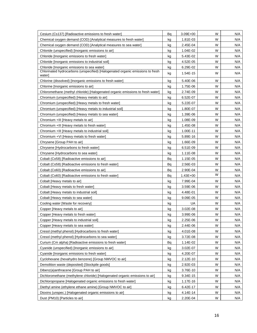| Cesium (Cs137) [Radioactive emissions to fresh water]                                    | Bq | $3.09E + 00$ | W | N/A |
|------------------------------------------------------------------------------------------|----|--------------|---|-----|
| Chemical oxygen demand (COD) [Analytical measures to fresh water]                        | kg | 1.81E-03     | W | N/A |
| Chemical oxygen demand (COD) [Analytical measures to sea water]                          | kg | 2.45E-04     | W | N/A |
| Chloride (unspecified) [Inorganic emissions to air]                                      | kg | 1.04E-02     | W | N/A |
| Chloride [Inorganic emissions to fresh water]                                            | kg | 5.43E-02     | W | N/A |
| Chloride [Inorganic emissions to industrial soil]                                        | kg | 4.52E-05     | W | N/A |
| Chloride [Inorganic emissions to sea water]                                              | kg | 6.29E-02     | W | N/A |
| Chlorinated hydrocarbons (unspecified) [Halogenated organic emissions to fresh<br>water] | kg | 1.54E-15     | W | N/A |
| Chlorine (dissolved) [Inorganic emissions to fresh water]                                | kg | 5.40E-06     | W | N/A |
| Chlorine [Inorganic emissions to air]                                                    | kg | 1.75E-06     | W | N/A |
| Chloromethane (methyl chloride) [Halogenated organic emissions to fresh water]           | kg | 2.74E-09     | W | N/A |
| Chromium (unspecified) [Heavy metals to air]                                             | kg | 6.52E-07     | W | N/A |
| Chromium (unspecified) [Heavy metals to fresh water]                                     | kg | 5.22E-07     | W | N/A |
| Chromium (unspecified) [Heavy metals to industrial soil]                                 | kg | 1.80E-07     | W | N/A |
| Chromium (unspecified) [Heavy metals to sea water]                                       | kg | 1.39E-06     | W | N/A |
| Chromium +III [Heavy metals to air]                                                      | kg | 1.08E-09     | W | N/A |
| Chromium +III [Heavy metals to fresh water]                                              | kg | 1.45E-08     | W | N/A |
| Chromium +III [Heavy metals to industrial soil]                                          | kg | 1.00E-11     | W | N/A |
| Chromium +VI [Heavy metals to fresh water]                                               | kg | 5.89E-16     | W | N/A |
| Chrysene [Group PAH to air]                                                              | kg | 1.66E-09     | W | N/A |
| Chrysene [Hydrocarbons to fresh water]                                                   | kg | 6.51E-09     | W | N/A |
| Chrysene [Hydrocarbons to sea water]                                                     | kg | 1.11E-08     | W | N/A |
| Cobalt (Co58) [Radioactive emissions to air]                                             | Bq | 1.15E-05     | W | N/A |
| Cobalt (Co58) [Radioactive emissions to fresh water]                                     | Bq | 2.56E-03     | W | N/A |
| Cobalt (Co60) [Radioactive emissions to air]                                             | Bq | 2.90E-04     | W | N/A |
| Cobalt (Co60) [Radioactive emissions to fresh water]                                     | Bq | $1.43E + 00$ | W | N/A |
| Cobalt [Heavy metals to air]                                                             | kg | 7.99E-04     | W | N/A |
| Cobalt [Heavy metals to fresh water]                                                     | kg | 3.59E-06     | W | N/A |
| Cobalt [Heavy metals to industrial soil]                                                 | kg | 4.48E-01     | W | N/A |
| Cobalt [Heavy metals to sea water]                                                       | kg | 9.09E-05     | W | N/A |
| Cooling water [Waste for recovery]                                                       | kg | UA           | W | N/A |
| Copper [Heavy metals to air]                                                             | kg | 3.02E-08     | W | N/A |
| Copper [Heavy metals to fresh water]                                                     | kg | 3.99E-06     | W | N/A |
| Copper [Heavy metals to industrial soil]                                                 | kg | 2.25E-06     | w | N/A |
| Copper [Heavy metals to sea water]                                                       | kg | 2.44E-06     | W | N/A |
| Cresol (methyl phenol) [Hydrocarbons to fresh water]                                     | kg | 4.01E-08     | W | N/A |
| Cresol (methyl phenol) [Hydrocarbons to sea water]                                       | kg | 3.72E-08     | W | N/A |
| Curium (Cm alpha) [Radioactive emissions to fresh water]                                 | Bq | 1.14E-02     | W | N/A |
| Cyanide (unspecified) [Inorganic emissions to air]                                       | kg | 3.02E-07     | W | N/A |
| Cyanide [Inorganic emissions to fresh water]                                             | kg | 4.20E-07     | W | N/A |
| Cyclohexane (hexahydro benzene) [Group NMVOC to air]                                     | kg | 2.12E-10     | W | N/A |
| Demolition waste (deposited) [Stockpile goods]                                           | kg | 2.92E-03     | W | N/A |
| Dibenz(a)anthracene [Group PAH to air]                                                   | kg | 3.76E-10     | W | N/A |
| Dichloromethane (methylene chloride) [Halogenated organic emissions to air]              | kg | 9.34E-15     | W | N/A |
| Dichloropropane [Halogenated organic emissions to fresh water]                           | kg | 1.17E-16     | W | N/A |
| Diethyl amine (ethylene ethane amine) [Group NMVOC to air]                               | kg | $6.42E - 17$ | W | N/A |
| Dioxins (unspec.) [Halogenated organic emissions to air]                                 | kg | 4.14E-14     | W | N/A |
| Dust (PM10) [Particles to air]                                                           | kg | 2.20E-04     | W | N/A |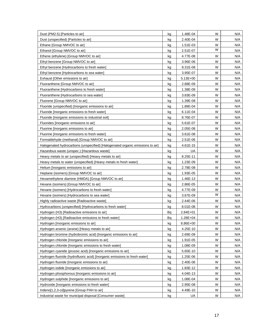| Dust (PM2.5) [Particles to air]                                               | kg | 1.48E-04     | W | N/A |
|-------------------------------------------------------------------------------|----|--------------|---|-----|
| Dust (unspecified) [Particles to air]                                         | kg | 2.40E-04     | W | N/A |
| Ethane [Group NMVOC to air]                                                   | kg | 1.51E-03     | W | N/A |
| Ethanol [Group NMVOC to air]                                                  | kg | 2.51E-07     | W | N/A |
| Ethene (ethylene) [Group NMVOC to air]                                        | kg | 4.77E-08     | W | N/A |
| Ethyl benzene [Group NMVOC to air]                                            | kg | 3.96E-06     | W | N/A |
| Ethyl benzene [Hydrocarbons to fresh water]                                   | kg | 8.31E-08     | W | N/A |
| Ethyl benzene [Hydrocarbons to sea water]                                     | kg | 3.95E-07     | W | N/A |
| Exhaust [Other emissions to air]                                              | kg | $5.13E + 00$ | W | N/A |
| Fluoranthene [Group NMVOC to air]                                             | kg | 2.88E-09     | W | N/A |
| Fluoranthene [Hydrocarbons to fresh water]                                    | kg | 1.38E-09     | W | N/A |
| Fluoranthene [Hydrocarbons to sea water]                                      | kg | 3.83E-09     | W | N/A |
| Fluorene [Group NMVOC to air]                                                 | kg | 1.39E-08     | W | N/A |
| Fluoride (unspecified) [Inorganic emissions to air]                           | kg | 1.89E-04     | W | N/A |
| Fluoride [Inorganic emissions to fresh water]                                 | kg | 6.11E-04     | W | N/A |
| Fluoride [Inorganic emissions to industrial soil]                             | kg | 8.76E-07     | W | N/A |
| Fluorides [Inorganic emissions to air]                                        | kg | 5.61E-07     | W | N/A |
| Fluorine [Inorganic emissions to air]                                         | kg | 2.05E-08     | W | N/A |
| Fluorine [Inorganic emissions to fresh water]                                 | kg | 3.61E-08     | W | N/A |
| Formaldehyde (methanal) [Group NMVOC to air]                                  | kg | 2.51E-06     | W | N/A |
| Halogenated hydrocarbons (unspecified) [Halogenated organic emissions to air] | kg | 4.61E-15     | W | N/A |
| Hazardous waste (unspec.) [Hazardous waste]                                   | kg | UA           | W | N/A |
| Heavy metals to air (unspecified) [Heavy metals to air]                       | kg | 8.25E-11     | W | N/A |
| Heavy metals to water (unspecified) [Heavy metals to fresh water]             | kg | 1.23E-09     | W | N/A |
| Helium [Inorganic emissions to air]                                           | kg | 2.78E-08     | W | N/A |
| Heptane (isomers) [Group NMVOC to air]                                        | kg | 1.93E-05     | W | N/A |
| Hexamethylene diamine (HMDA) [Group NMVOC to air]                             | kg | 1.46E-13     | W | N/A |
| Hexane (isomers) [Group NMVOC to air]                                         | kg | 2.86E-05     | W | N/A |
| Hexane (isomers) [Hydrocarbons to fresh water]                                | kg | 4.77E-09     | W | N/A |
| Hexane (isomers) [Hydrocarbons to sea water]                                  | kg | 3.67E-09     | W | N/A |
| Highly radioactive waste [Radioactive waste]                                  | kg | 2.44E-06     | W | N/A |
| Hydrocarbons (unspecified) [Hydrocarbons to fresh water]                      | kg | 8.01E-08     | W | N/A |
| Hydrogen (H3) [Radioactive emissions to air]                                  | Bq | $2.84E + 01$ | W | N/A |
| Hydrogen (H3) [Radioactive emissions to fresh water]                          | Bq | $1.28E + 04$ | W | N/A |
| Hydrogen [Inorganic emissions to air]                                         | kg | 8.86E+00     | W | N/A |
| Hydrogen arsenic (arsine) [Heavy metals to air]                               | kg | 4.25E-10     | W | N/A |
| Hydrogen bromine (hydrobromic acid) [Inorganic emissions to air]              | kg | 2.69E-09     | W | N/A |
| Hydrogen chloride [Inorganic emissions to air]                                | kg | 1.91E-05     | W | N/A |
| Hydrogen chloride [Inorganic emissions to fresh water]                        | kg | 1.08E-09     | W | N/A |
| Hydrogen cyanide (prussic acid) [Inorganic emissions to air]                  | kg | 5.65E-10     | W | N/A |
| Hydrogen fluoride (hydrofluoric acid) [Inorganic emissions to fresh water]    | kg | 1.25E-06     | W | N/A |
| Hydrogen fluoride [Inorganic emissions to air]                                | kg | 2.40E-06     | W | N/A |
| Hydrogen iodide [Inorganic emissions to air]                                  | kg | 1.83E-12     | W | N/A |
| Hydrogen phosphorous [Inorganic emissions to air]                             | kg | 4.04E-13     | W | N/A |
| Hydrogen sulphide [Inorganic emissions to air]                                | kg | 1.08E-04     | W | N/A |
| Hydroxide [Inorganic emissions to fresh water]                                | kg | 2.95E-08     | W | N/A |
| Indeno[1,2,3-cd]pyrene [Group PAH to air]                                     | kg | 4.49E-10     | W | N/A |
| Industrial waste for municipal disposal [Consumer waste]                      | kg | UA           | W | N/A |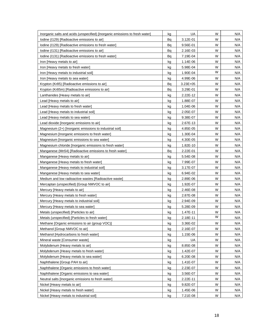| Inorganic salts and acids (unspecified) [Inorganic emissions to fresh water] | kg | UA           | W | N/A |
|------------------------------------------------------------------------------|----|--------------|---|-----|
| lodine (1129) [Radioactive emissions to air]                                 | Bq | 3.12E-01     | W | N/A |
| Iodine (I129) [Radioactive emissions to fresh water]                         | Bq | 9.56E-01     | W | N/A |
| Iodine (1131) [Radioactive emissions to air]                                 | Bq | 2.16E-03     | W | N/A |
| lodine (1131) [Radioactive emissions to fresh water]                         | Bq | 7.19E-04     | W | N/A |
| Iron [Heavy metals to air]                                                   | kg | 1.14E-06     | W | N/A |
| Iron [Heavy metals to fresh water]                                           | kg | 5.98E-04     | W | N/A |
| Iron [Heavy metals to industrial soil]                                       | kg | 1.90E-04     | W | N/A |
| Iron [Heavy metals to sea water]                                             | kg | 4.99E-06     | W | N/A |
| Krypton (Kr85) [Radioactive emissions to air]                                | Bq | $3.23E + 05$ | W | N/A |
| Krypton (Kr85m) [Radioactive emissions to air]                               | Bq | 3.29E-01     | W | N/A |
| Lanthanides [Heavy metals to air]                                            | kg | 2.22E-12     | W | N/A |
| Lead [Heavy metals to air]                                                   | kg | 1.88E-07     | W | N/A |
| Lead [Heavy metals to fresh water]                                           | kg | 1.04E-06     | W | N/A |
| Lead [Heavy metals to industrial soil]                                       | kg | 2.05E-07     | W | N/A |
| Lead [Heavy metals to sea water]                                             | kg | 9.38E-07     | W | N/A |
| Lead dioxide [Inorganic emissions to air]                                    | kg | 2.67E-13     | W | N/A |
| Magnesium (2+) [Inorganic emissions to industrial soil]                      | kg | 4.85E-05     | W | N/A |
| Magnesium [Inorganic emissions to fresh water]                               | kg | 1.30E-04     | W | N/A |
| Magnesium [Inorganic emissions to sea water]                                 | kg | 4.30E-05     | W | N/A |
| Magnesium chloride [Inorganic emissions to fresh water]                      | kg | 1.82E-10     | W | N/A |
| Manganese (Mn54) [Radioactive emissions to fresh water]                      | Bq | 2.22E-01     | W | N/A |
| Manganese [Heavy metals to air]                                              | kg | 5.54E-08     | W | N/A |
| Manganese [Heavy metals to fresh water]                                      | kg | 7.99E-07     | W | N/A |
| Manganese [Heavy metals to industrial soil]                                  | kg | 3.17E-07     | W | N/A |
| Manganese [Heavy metals to sea water]                                        | kg | 6.94E-02     | W | N/A |
| Medium and low radioactive wastes [Radioactive waste]                        | kg | 2.89E-06     | W | N/A |
| Mercaptan (unspecified) [Group NMVOC to air]                                 | kg | 1.92E-07     | W | N/A |
| Mercury [Heavy metals to air]                                                | kg | 2.46E-08     | W | N/A |
| Mercury [Heavy metals to fresh water]                                        | kg | 2.87E-08     | W | N/A |
| Mercury [Heavy metals to industrial soil]                                    | kg | 2.94E-09     | W | N/A |
| Mercury [Heavy metals to sea water]                                          | kg | 5.28E-09     | W | N/A |
| Metals (unspecified) [Particles to air]                                      | kg | 1.47E-11     | W | N/A |
| Metals (unspecified) [Particles to fresh water]                              | kg | 2.18E-11     | W | N/A |
| Methane [Organic emissions to air (group VOC)]                               | kg | 3.36E-02     | W | N/A |
| Methanol [Group NMVOC to air]                                                | kg | 2.16E-07     | W | N/A |
| Methanol [Hydrocarbons to fresh water]                                       | kg | 1.15E-06     | W | N/A |
| Mineral waste [Consumer waste]                                               | kg | UA           | W | N/A |
| Molybdenum [Heavy metals to air]                                             | kg | 8.85E-08     | W | N/A |
| Molybdenum [Heavy metals to fresh water]                                     | kg | 1.42E-07     | W | N/A |
| Molybdenum [Heavy metals to sea water]                                       | kg | 6.20E-08     | W | N/A |
| Naphthalene [Group PAH to air]                                               | kg | 1.41E-07     | W | N/A |
| Naphthalene [Organic emissions to fresh water]                               | kg | 2.23E-07     | W | N/A |
| Naphthalene [Organic emissions to sea water]                                 | kg | 3.56E-07     | W | N/A |
| Neutral salts [Inorganic emissions to fresh water]                           | kg | 2.22E-11     | W | N/A |
| Nickel [Heavy metals to air]                                                 | kg | 9.82E-07     | W | N/A |
| Nickel [Heavy metals to fresh water]                                         | kg | 1.45E-06     | W | N/A |
| Nickel [Heavy metals to industrial soil]                                     | kg | 7.21E-08     | W | N/A |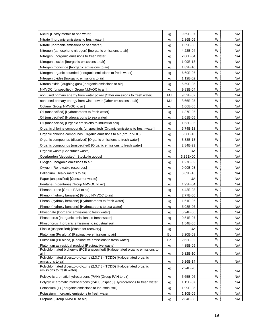| Nickel [Heavy metals to sea water]                                                                   | kg        | 9.59E-07 | W | N/A |
|------------------------------------------------------------------------------------------------------|-----------|----------|---|-----|
| Nitrate [Inorganic emissions to fresh water]                                                         | kg        | 2.86E-05 | W | N/A |
| Nitrate [Inorganic emissions to sea water]                                                           | kg        | 1.59E-06 | W | N/A |
| Nitrogen (atmospheric nitrogen) [Inorganic emissions to air]                                         | kg        | 4.22E-04 | W | N/A |
| Nitrogen [Inorganic emissions to fresh water]                                                        | kg        | 2.08E-04 | W | N/A |
| Nitrogen dioxide [Inorganic emissions to air]                                                        | kg        | 1.09E-13 | W | N/A |
| Nitrogen monoxide [Inorganic emissions to air]                                                       | kg        | 1.82E-10 | W | N/A |
| Nitrogen organic bounded [Inorganic emissions to fresh water]                                        | kg        | 6.69E-05 | W | N/A |
| Nitrogen oxides [Inorganic emissions to air]                                                         | kg        | 1.12E-02 | W | N/A |
| Nitrous oxide (laughing gas) [Inorganic emissions to air]                                            | kg        | 6.59E-05 | W | N/A |
| NMVOC (unspecified) [Group NMVOC to air]                                                             | kg        | 9.83E-04 | W | N/A |
| non used primary energy from water power [Other emissions to fresh water]                            | <b>MJ</b> | 9.52E-02 | W | N/A |
| non used primary energy from wind power [Other emissions to air]                                     | MJ        | 8.66E-05 | W | N/A |
| Octane [Group NMVOC to air]                                                                          | kg        | 1.06E-05 | W | N/A |
| Oil (unspecified) [Hydrocarbons to fresh water]                                                      | kg        | 1.37E-05 | W | N/A |
| Oil (unspecified) [Hydrocarbons to sea water]                                                        | kg        | 2.61E-05 | W | N/A |
| Oil (unspecified) [Organic emissions to industrial soil]                                             | kg        | 1.53E-05 | W | N/A |
| Organic chlorine compounds (unspecified) [Organic emissions to fresh water]                          | kg        | 5.74E-13 | W | N/A |
| Organic chlorine compounds [Organic emissions to air (group VOC)]                                    | kg        | 5.56E-13 | W | N/A |
| Organic compounds (dissolved) [Organic emissions to fresh water]                                     | kg        | 3.33E-13 | W | N/A |
| Organic compounds (unspecified) [Organic emissions to fresh water]                                   | kg        | 2.84E-23 | W | N/A |
| Organic waste [Consumer waste]                                                                       | kg        | UA       | W | N/A |
| Overburden (deposited) [Stockpile goods]                                                             | kg        | 3.39E+00 | W | N/A |
| Oxygen [Inorganic emissions to air]                                                                  | kg        | 1.27E-02 | W | N/A |
| Oxygen [Renewable resources]                                                                         | kg        | 9.00E-03 | W | N/A |
| Palladium [Heavy metals to air]                                                                      | kg        | 6.69E-16 | W | N/A |
| Paper (unspecified) [Consumer waste]                                                                 | kg        | UA       | W | N/A |
| Pentane (n-pentane) [Group NMVOC to air]                                                             | kg        | 1.93E-04 | W | N/A |
| Phenanthrene [Group PAH to air]                                                                      | kg        | 4.43E-08 | W | N/A |
| Phenol (hydroxy benzene) [Group NMVOC to air]                                                        | kg        | 2.77E-06 | W | N/A |
| Phenol (hydroxy benzene) [Hydrocarbons to fresh water]                                               | kg        | 1.61E-06 | W | N/A |
| Phenol (hydroxy benzene) [Hydrocarbons to sea water]                                                 | kg        | 5.08E-06 | W | N/A |
| Phosphate [Inorganic emissions to fresh water]                                                       | kg        | 5.94E-06 | W | N/A |
| Phosphorus [Inorganic emissions to fresh water]                                                      | kg        | 9.51E-07 | W | N/A |
| Phosphorus [Inorganic emissions to industrial soil]                                                  | kg        | 1.54E-05 | W | N/A |
| Plastic (unspecified) [Waste for recovery]                                                           | kg        | UA       | W | N/A |
| Plutonium (Pu alpha) [Radioactive emissions to air]                                                  | Bq        | 8.20E-03 | W | N/A |
| Plutonium (Pu alpha) [Radioactive emissions to fresh water]                                          | Bq        | 2.62E-02 | W | N/A |
| Plutonium as residual product [Radioactive waste]                                                    | kg        | 4.85E-09 | W | N/A |
| Polychlorinated biphenyls (PCB unspecified) [Halogenated organic emissions to                        |           |          |   |     |
| airl<br>Polychlorinated dibenzo-p-dioxins (2,3,7,8 - TCDD) [Halogenated organic                      | kg        | 9.32E-10 | W | N/A |
| emissions to air]                                                                                    | kg        | 9.16E-14 | W | N/A |
| Polychlorinated dibenzo-p-dioxins (2,3,7,8 - TCDD) [Halogenated organic<br>emissions to fresh water] | kg        | 2.24E-20 | W | N/A |
| Polycyclic aromatic hydrocarbons (PAH) [Group PAH to air]                                            | kg        | 5.65E-06 | W | N/A |
| Polycyclic aromatic hydrocarbons (PAH, unspec.) [Hydrocarbons to fresh water]                        | kg        | 1.15E-07 | W | N/A |
| Potassium (+) [Inorganic emissions to industrial soil]                                               | kg        | 1.99E-05 | W | N/A |
| Potassium [Inorganic emissions to fresh water]                                                       | kg        | 1.10E-05 | W | N/A |
| Propane [Group NMVOC to air]                                                                         | kg        | 2.84E-03 | W | N/A |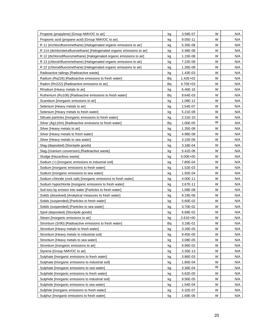| Propene (propylene) [Group NMVOC to air]                                 | kg | 3.58E-07     | W | N/A |
|--------------------------------------------------------------------------|----|--------------|---|-----|
| Propionic acid (propane acid) [Group NMVOC to air]                       | kg | $9.05E-11$   | W | N/A |
| R 11 (trichlorofluoromethane) [Halogenated organic emissions to air]     | kg | 5.35E-08     | W | N/A |
| R 114 (dichlorotetrafluoroethane) [Halogenated organic emissions to air] | kg | 5.48E-08     | W | N/A |
| R 12 (dichlorodifluoromethane) [Halogenated organic emissions to air]    | kg | 1.15E-08     | W | N/A |
| R 13 (chlorotrifluoromethane) [Halogenated organic emissions to air]     | kg | 7.22E-09     | W | N/A |
| R 22 (chlorodifluoromethane) [Halogenated organic emissions to air]      | kg | 1.26E-08     | W | N/A |
| Radioactive tailings [Radioactive waste]                                 | kg | 1.43E-03     | W | N/A |
| Radium (Ra226) [Radioactive emissions to fresh water]                    | Bq | $1.42E + 02$ | W | N/A |
| Radon (Rn222) [Radioactive emissions to air]                             | Bq | 4.70E+03     | W | N/A |
| Rhodium [Heavy metals to air]                                            | kg | 6.46E-16     | W | N/A |
| Ruthenium (Ru106) [Radioactive emissions to fresh water]                 | Bq | 8.64E-03     | W | N/A |
| Scandium [Inorganic emissions to air]                                    | kg | 1.08E-12     | W | N/A |
| Selenium [Heavy metals to air]                                           | kg | 2.54E-07     | W | N/A |
| Selenium [Heavy metals to fresh water]                                   | kg | 5.21E-08     | W | N/A |
| Silicate particles [Inorganic emissions to fresh water]                  | kg | 2.31E-10     | W | N/A |
| Silver (Ag110m) [Radioactive emissions to fresh water]                   | Bq | 1.00E-05     | W | N/A |
| Silver [Heavy metals to air]                                             | kg | 1.35E-08     | W | N/A |
| Silver [Heavy metals to fresh water]                                     | kg | 4.98E-08     | W | N/A |
| Silver [Heavy metals to sea water]                                       | kg | 3.15E-06     | W | N/A |
| Slag (deposited) [Stockpile goods]                                       | kg | 3.18E-04     | W | N/A |
| Slag (Uranium conversion) [Radioactive waste]                            | kg | 5.41E-06     | W | N/A |
| Sludge [Hazardous waste]                                                 | kg | $0.00E + 00$ | W | N/A |
| Sodium (+) [Inorganic emissions to industrial soil]                      | kg | 7.80E-04     | W | N/A |
| Sodium [Inorganic emissions to fresh water]                              | kg | 1.52E-03     | W | N/A |
| Sodium [Inorganic emissions to sea water]                                | kg | 1.92E-04     | W | N/A |
| Sodium chloride (rock salt) [Inorganic emissions to fresh water]         | kg | 4.00E-11     | W | N/A |
| Sodium hypochlorite [Inorganic emissions to fresh water]                 | kg | 2.67E-11     | W | N/A |
| Soil loss by erosion into water [Particles to fresh water]               | kg | 1.08E-08     | W | N/A |
| Solids (dissolved) [Analytical measures to fresh water]                  | kg | 9.19E-06     | W | N/A |
| Solids (suspended) [Particles to fresh water]                            | kg | 5.60E-02     | W | N/A |
| Solids (suspended) [Particles to sea water]                              | kg | 3.70E-02     | W | N/A |
| Spoil (deposited) [Stockpile goods]                                      | kg | 6.68E-02     | W | N/A |
| Steam [Inorganic emissions to air]                                       | kg | $2.61E + 00$ | W | N/A |
| Strontium (Sr90) [Radioactive emissions to fresh water]                  | Bq | 3.18E-01     | W | N/A |
| Strontium [Heavy metals to fresh water]                                  | kg | 3.26E-05     | W | N/A |
| Strontium [Heavy metals to industrial soil]                              | kg | 9.45E-05     | W | N/A |
| Strontium [Heavy metals to sea water]                                    | kg | 3.08E-05     | W | N/A |
| Strontium [Inorganic emissions to air]                                   | kg | 9.96E-02     | W | N/A |
| Styrene [Group NMVOC to air]                                             | kg | 2.35E-13     | W | N/A |
| Sulphate [Inorganic emissions to fresh water]                            | kg | 3.86E-03     | W | N/A |
| Sulphate [Inorganic emissions to industrial soil]                        | kg | 1.85E-04     | W | N/A |
| Sulphate [Inorganic emissions to sea water]                              | kg | 3.36E-04     | W | N/A |
| Sulphide [Inorganic emissions to fresh water]                            | kg | 5.62E-05     | W | N/A |
| Sulphide [Inorganic emissions to industrial soil]                        | kg | 9.56E-05     | W | N/A |
| Sulphide [Inorganic emissions to sea water]                              | kg | 1.54E-04     | W | N/A |
| Sulphite [Inorganic emissions to fresh water]                            | kg | 5.32E-07     | W | N/A |
| Sulphur [Inorganic emissions to fresh water]                             | kg | 1.69E-06     | W | N/A |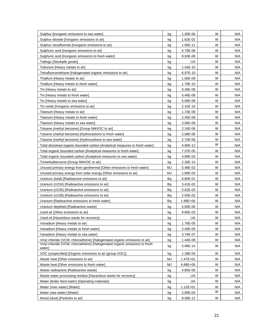| Sulphur [Inorganic emissions to sea water]                                           | kg        | 1.30E-06     | W | N/A |
|--------------------------------------------------------------------------------------|-----------|--------------|---|-----|
| Sulphur dioxide [Inorganic emissions to air]                                         | kg        | 1.62E-02     | W | N/A |
| Sulphur hexafluoride [Inorganic emissions to air]                                    | kg        | 1.95E-11     | W | N/A |
| Sulphuric acid [Inorganic emissions to air]                                          | kg        | 6.79E-08     | W | N/A |
| Sulphuric acid [Inorganic emissions to fresh water]                                  | kg        | 9.93E-08     | W | N/A |
| Tailings [Stockpile goods]                                                           | kg        | UA           | W | N/A |
| Tellurium [Heavy metals to air]                                                      | kg        | 1.43E-10     | W | N/A |
| Tetrafluoromethane [Halogenated organic emissions to air]                            | kg        | 6.97E-10     | W | N/A |
| Thallium [Heavy metals to air]                                                       | kg        | 1.06E-09     | W | N/A |
| Thallium [Heavy metals to fresh water]                                               | kg        | 1.79E-10     | W | N/A |
| Tin [Heavy metals to air]                                                            | kg        | 9.39E-08     | W | N/A |
| Tin [Heavy metals to fresh water]                                                    | kg        | 5.46E-08     | W | N/A |
| Tin [Heavy metals to sea water]                                                      | kg        | 5.06E-08     | W | N/A |
| Tin oxide [Inorganic emissions to air]                                               | kg        | 2.32E-14     | W | N/A |
| Titanium [Heavy metals to air]                                                       | kg        | 1.74E-09     | W | N/A |
| Titanium [Heavy metals to fresh water]                                               | kg        | 2.45E-08     | W | N/A |
| Titanium [Heavy metals to sea water]                                                 | kg        | 3.06E-09     | W | N/A |
| Toluene (methyl benzene) [Group NMVOC to air]                                        | kg        | 2.16E-06     | W | N/A |
| Toluene (methyl benzene) [Hydrocarbons to fresh water]                               | kg        | 2.08E-06     | W | N/A |
| Toluene (methyl benzene) [Hydrocarbons to sea water]                                 | kg        | 2.70E-06     | W | N/A |
| Total dissolved organic bounded carbon [Analytical measures to fresh water]          | kg        | 4.90E-12     | W | N/A |
| Total organic bounded carbon [Analytical measures to fresh water]                    | kg        | 7.37E-05     | W | N/A |
| Total organic bounded carbon [Analytical measures to sea water]                      | kg        | 4.89E-05     | W | N/A |
| Trimethylbenzene [Group NMVOC to air]                                                | kg        | 2.26E-13     | W | N/A |
| Unused primary energy from geothermal [Other emissions to fresh water]               | <b>MJ</b> | 5.48E-02     | W | N/A |
| Unused primary energy from solar energy [Other emissions to air]                     | MJ        | 1.99E-03     | W | N/A |
| Uranium (total) [Radioactive emissions to air]                                       | Bq        | 6.80E-01     | W | N/A |
| Uranium (U234) [Radioactive emissions to air]                                        | Bq        | 3.41E-02     | W | N/A |
| Uranium (U235) [Radioactive emissions to air]                                        | Bq        | 5.62E-03     | W | N/A |
| Uranium (U238) [Radioactive emissions to air]                                        | Bq        | 2.50E-02     | W | N/A |
| Uranium [Radioactive emissions to fresh water]                                       | Bq        | 1.99E+00     | W | N/A |
| Uranium depleted [Radioactive waste]                                                 | kg        | 5.60E-06     | W | N/A |
| Used air [Other emissions to air]                                                    | kg        | 9.85E-03     | W | N/A |
| Used oil [Hazardous waste for recovery]                                              | kg        | UA           | W | N/A |
| Vanadium [Heavy metals to air]                                                       | kg        | 1.78E-05     | W | N/A |
| Vanadium [Heavy metals to fresh water]                                               | kg        | 2.46E-05     | W | N/A |
| Vanadium [Heavy metals to sea water]                                                 | kg        | 3.74E-07     | W | N/A |
| Vinyl chloride (VCM; chloroethene) [Halogenated organic emissions to air]            | kg        | 1.44E-08     | W | N/A |
| Vinyl chloride (VCM; chloroethene) [Halogenated organic emissions to fresh<br>water] | kg        | 5.99E-14     | W | N/A |
| VOC (unspecified) [Organic emissions to air (group VOC)]                             | kg        | 1.39E-05     | W | N/A |
| Waste heat [Other emissions to air]                                                  | <b>MJ</b> | $1.47E + 01$ | W | N/A |
| Waste heat [Other emissions to fresh water]                                          | MJ        | 6.88E+00     | W | N/A |
| Waste radioactive [Radioactive waste]                                                | kg        | 4.85E-06     | W | N/A |
| Waste water processing residue [Hazardous waste for recovery]                        | kg        | UA           | W | N/A |
| Water (boiler feed water) [Operating materials]                                      | kg        | UA           | W | N/A |
| Water (river water) [Water]                                                          | kg        | $1.12E + 01$ | W | N/A |
| Water (sea water) [Water]                                                            | kg        | 2.90E-04     | W | N/A |
| Wood (dust) [Particles to air]                                                       | kg        | 8.58E-12     | W | N/A |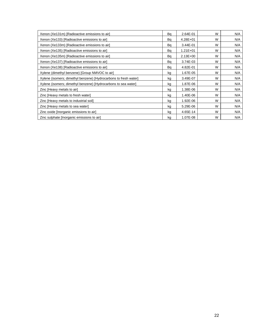| Xenon (Xe131m) [Radioactive emissions to air]                    | Bq | 2.64E-01     | W | N/A |
|------------------------------------------------------------------|----|--------------|---|-----|
| Xenon (Xe133) [Radioactive emissions to air]                     | Bq | $4.28E + 01$ | W | N/A |
| Xenon (Xe133m) [Radioactive emissions to air]                    | Bq | 3.44E-01     | W | N/A |
| Xenon (Xe135) [Radioactive emissions to air]                     | Bq | $1.21E + 01$ | W | N/A |
| Xenon (Xe135m) [Radioactive emissions to air]                    | Bq | $2.13E + 00$ | W | N/A |
| Xenon (Xe137) [Radioactive emissions to air]                     | Bq | 3.74E-03     | W | N/A |
| Xenon (Xe138) [Radioactive emissions to air]                     | Bq | 4.82E-01     | W | N/A |
| Xylene (dimethyl benzene) [Group NMVOC to air]                   | kg | 1.67E-05     | W | N/A |
| Xylene (isomers; dimethyl benzene) [Hydrocarbons to fresh water] | kg | 3.49E-07     | W | N/A |
| Xylene (isomers; dimethyl benzene) [Hydrocarbons to sea water]   | kg | 1.87E-06     | W | N/A |
| Zinc [Heavy metals to air]                                       | kg | 1.38E-06     | W | N/A |
| Zinc [Heavy metals to fresh water]                               | kg | 1.40E-06     | W | N/A |
| Zinc [Heavy metals to industrial soil]                           | kg | 1.92E-06     | W | N/A |
| Zinc [Heavy metals to sea water]                                 | kg | 5.29E-06     | W | N/A |
| Zinc oxide [Inorganic emissions to air]                          | kg | 4.65E-14     | W | N/A |
| Zinc sulphate [Inorganic emissions to air]                       | kg | 1.07E-08     | W | N/A |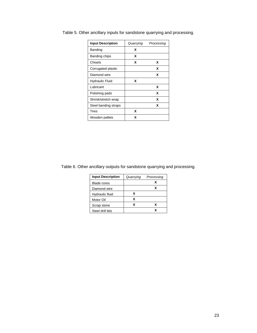| <b>Input Description</b> | Quarrying | Processing |
|--------------------------|-----------|------------|
| Banding                  | x         |            |
| Banding chips            | x         |            |
| Chisels                  | x         | x          |
| Corrugated plastic       |           | x          |
| Diamond wire             |           | x          |
| <b>Hydraulic Fluid</b>   | x         |            |
| Lubricant                |           | x          |
| Polishing pads           |           | X          |
| Shrink/stretch wrap      |           | x          |
| Steel banding straps     |           | x          |
| <b>Tires</b>             | x         |            |
| Wooden pallets           | x         |            |

<span id="page-25-1"></span><span id="page-25-0"></span>Table 5. Other ancillary inputs for sandstone quarrying and processing.

#### <span id="page-25-2"></span>Table 6. Other ancillary outputs for sandstone quarrying and processing.

| Quarrying | Processing |
|-----------|------------|
|           | х          |
|           | x          |
| x         |            |
| x         |            |
| x         | x          |
|           | x          |
|           |            |